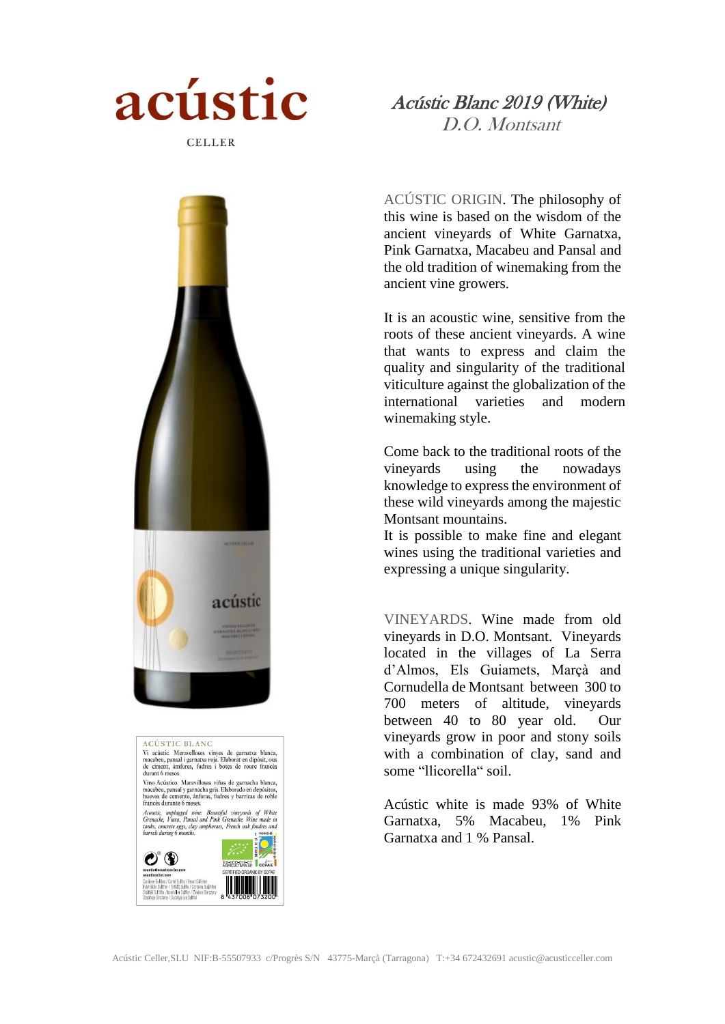

 Acústic Blanc 2019 (White) D.O. Montsant

ACÚSTIC ORIGIN. The philosophy of this wine is based on the wisdom of the ancient vineyards of White Garnatxa, Pink Garnatxa, Macabeu and Pansal and the old tradition of winemaking from the ancient vine growers.

It is an acoustic wine, sensitive from the roots of these ancient vineyards. A wine that wants to express and claim the quality and singularity of the traditional viticulture against the globalization of the international varieties and modern winemaking style.

Come back to the traditional roots of the vineyards using the nowadays knowledge to express the environment of these wild vineyards among the majestic Montsant mountains.

It is possible to make fine and elegant wines using the traditional varieties and expressing a unique singularity.

VINEYARDS. Wine made from old vineyards in D.O. Montsant. Vineyards located in the villages of La Serra d'Almos, Els Guiamets, Marçà and Cornudella de Montsant between 300 to 700 meters of altitude, vineyards between 40 to 80 year old. Our vineyards grow in poor and stony soils with a combination of clay, sand and some "llicorella" soil.

Acústic white is made 93% of White Garnatxa, 5% Macabeu, 1% Pink Garnatxa and 1 % Pansal.





**ACÚSTIC BLANC** 

durant 6 mesos

 $\mathcal{O}^{\circ}$  (D

Vi acústic. Meravelloses vinyes de garnatxa blanca, macabeu, pansal i garnatxa roja. Elaborat en dipòsit, ous<br>de ciment, àmfores, fudres i botes de roure francès

Vino Acústico. Maravillosas viñas de garnacha blanca, Vino Acústico. Maravillosas viñas de garnacha en depósitos, huevos de cemento, ánforas, fudres y barricas de roble francés durante 6 meses.

francés durante 6 meses.<br>
Acoustic, unplugged wine. Beautiful vineyards of White<br>
Grenache, Viura, Pansal and Pone Grenache. Wine made in<br>
tanks, concrete eggs, clay amphoraes, French oak foudres and<br>
barrels during 6 mont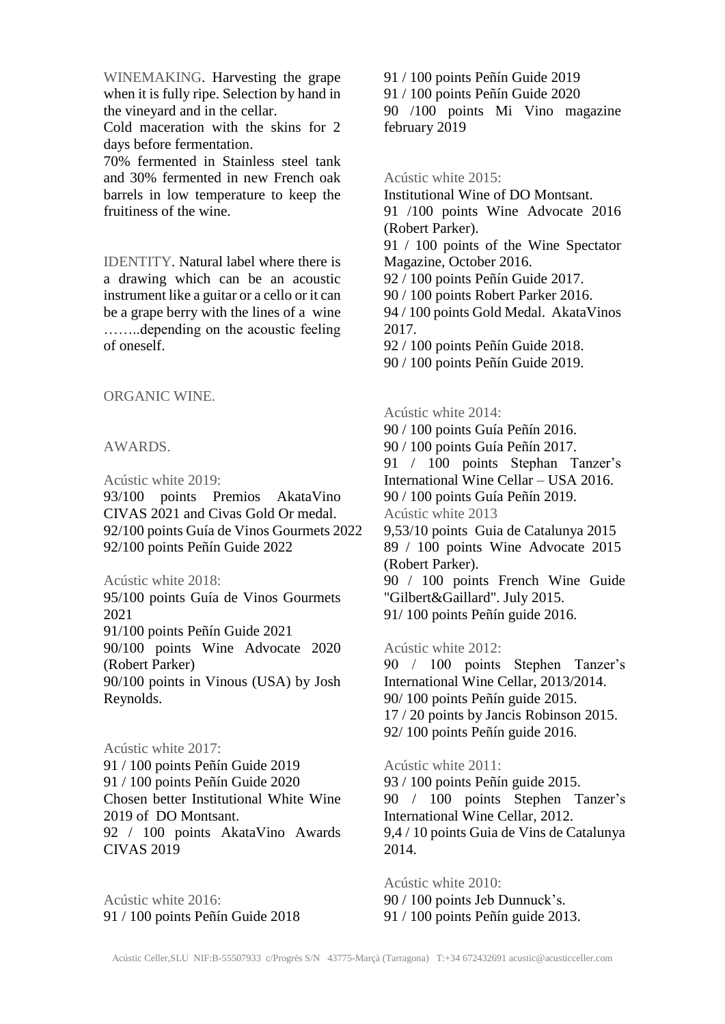WINEMAKING. Harvesting the grape when it is fully ripe. Selection by hand in the vineyard and in the cellar.

Cold maceration with the skins for 2 days before fermentation.

70% fermented in Stainless steel tank and 30% fermented in new French oak barrels in low temperature to keep the fruitiness of the wine.

IDENTITY. Natural label where there is a drawing which can be an acoustic instrument like a guitar or a cello or it can be a grape berry with the lines of a wine ……..depending on the acoustic feeling of oneself.

ORGANIC WINE.

## AWARDS.

Acústic white 2019:

93/100 points Premios AkataVino CIVAS 2021 and Civas Gold Or medal. 92/100 points Guía de Vinos Gourmets 2022 92/100 points Peñín Guide 2022

Acústic white 2018:

95/100 points Guía de Vinos Gourmets 2021

91/100 points Peñín Guide 2021

90/100 points Wine Advocate 2020 (Robert Parker)

90/100 points in Vinous (USA) by Josh Reynolds.

Acústic white 2017:

91 / 100 points Peñín Guide 2019 91 / 100 points Peñín Guide 2020 Chosen better Institutional White Wine 2019 of DO Montsant. 92 / 100 points AkataVino Awards CIVAS 2019

Acústic white 2016: 91 / 100 points Peñín Guide 2018 91 / 100 points Peñín Guide 2019

91 / 100 points Peñín Guide 2020

90 /100 points Mi Vino magazine february 2019

Acústic white 2015:

Institutional Wine of DO Montsant.

91 /100 points Wine Advocate 2016 (Robert Parker).

91 / 100 points of the Wine Spectator Magazine, October 2016.

92 / 100 points Peñín Guide 2017.

90 / 100 points Robert Parker 2016.

94 / 100 points Gold Medal. AkataVinos 2017.

92 / 100 points Peñín Guide 2018.

90 / 100 points Peñín Guide 2019.

Acústic white 2014:

90 / 100 points Guía Peñín 2016. 90 / 100 points Guía Peñín 2017. 91 / 100 points Stephan Tanzer's International Wine Cellar – USA 2016. 90 / 100 points Guía Peñín 2019. Acústic white 2013 9,53/10 points Guia de Catalunya 2015 89 / 100 points Wine Advocate 2015 (Robert Parker). 90 / 100 points French Wine Guide "Gilbert&Gaillard". July 2015.

91/ 100 points Peñín guide 2016.

Acústic white 2012: 90 / 100 points Stephen Tanzer's International Wine Cellar, 2013/2014. 90/ 100 points Peñín guide 2015.

17 / 20 points by Jancis Robinson 2015.

92/ 100 points Peñín guide 2016.

Acústic white 2011: 93 / 100 points Peñín guide 2015. 90 / 100 points Stephen Tanzer's International Wine Cellar, 2012. 9,4 / 10 points Guia de Vins de Catalunya 2014.

Acústic white 2010: 90 / 100 points Jeb Dunnuck's. 91 / 100 points Peñín guide 2013.